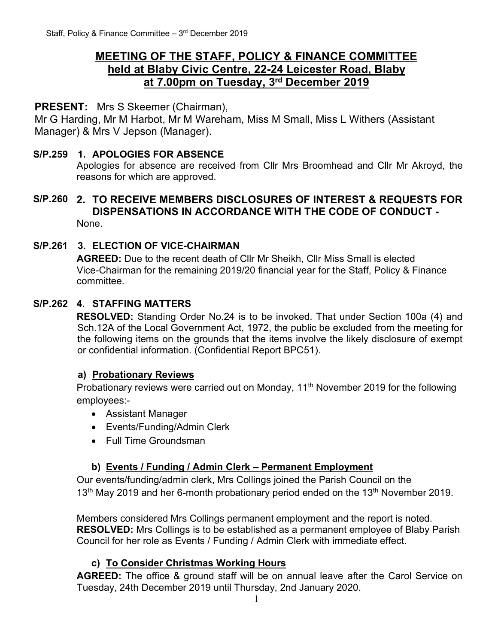## **MEETING OF THE STAFF, POLICY & FINANCE COMMITTEE held at Blaby Civic Centre, 22-24 Leicester Road, Blaby at 7.00pm on Tuesday, 3 rd December 2019**

### **PRESENT:** Mrs S Skeemer (Chairman),

Mr G Harding, Mr M Harbot, Mr M Wareham, Miss M Small, Miss L Withers (Assistant Manager) & Mrs V Jepson (Manager).

#### **S/P.259 1. APOLOGIES FOR ABSENCE**

Apologies for absence are received from Cllr Mrs Broomhead and Cllr Mr Akroyd, the reasons for which are approved.

#### **S/P.260 2. TO RECEIVE MEMBERS DISCLOSURES OF INTEREST & REQUESTS FOR DISPENSATIONS IN ACCORDANCE WITH THE CODE OF CONDUCT -** None.

# **S/P.261 3. ELECTION OF VICE-CHAIRMAN**

**AGREED:** Due to the recent death of Cllr Mr Sheikh, Cllr Miss Small is elected Vice-Chairman for the remaining 2019/20 financial year for the Staff, Policy & Finance committee.

#### **S/P.262 4. STAFFING MATTERS**

**RESOLVED:** Standing Order No.24 is to be invoked. That under Section 100a (4) and Sch.12A of the Local Government Act, 1972, the public be excluded from the meeting for the following items on the grounds that the items involve the likely disclosure of exempt or confidential information. (Confidential Report BPC51).

#### **a) Probationary Reviews**

Probationary reviews were carried out on Monday, 11<sup>th</sup> November 2019 for the following employees:-

- Assistant Manager
- Events/Funding/Admin Clerk
- Full Time Groundsman

#### **b) Events / Funding / Admin Clerk – Permanent Employment**

Our events/funding/admin clerk, Mrs Collings joined the Parish Council on the 13<sup>th</sup> May 2019 and her 6-month probationary period ended on the 13<sup>th</sup> November 2019.

Members considered Mrs Collings permanent employment and the report is noted. **RESOLVED:** Mrs Collings is to be established as a permanent employee of Blaby Parish Council for her role as Events / Funding / Admin Clerk with immediate effect.

#### **c) To Consider Christmas Working Hours**

**AGREED:** The office & ground staff will be on annual leave after the Carol Service on Tuesday, 24th December 2019 until Thursday, 2nd January 2020.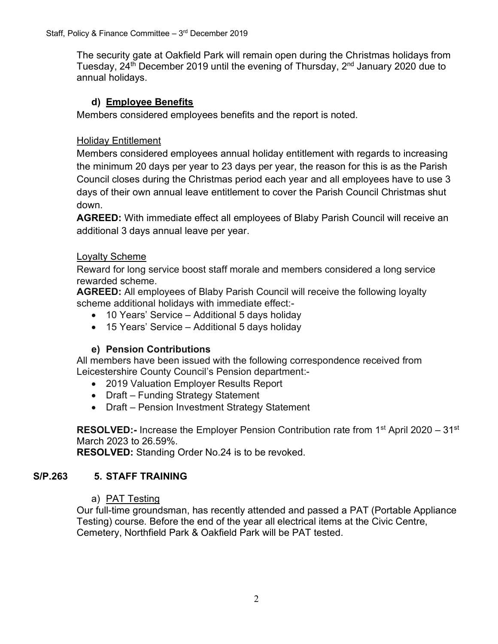The security gate at Oakfield Park will remain open during the Christmas holidays from Tuesday, 24<sup>th</sup> December 2019 until the evening of Thursday, 2<sup>nd</sup> January 2020 due to annual holidays.

## **d) Employee Benefits**

Members considered employees benefits and the report is noted.

## Holiday Entitlement

Members considered employees annual holiday entitlement with regards to increasing the minimum 20 days per year to 23 days per year, the reason for this is as the Parish Council closes during the Christmas period each year and all employees have to use 3 days of their own annual leave entitlement to cover the Parish Council Christmas shut down.

**AGREED:** With immediate effect all employees of Blaby Parish Council will receive an additional 3 days annual leave per year.

## Loyalty Scheme

Reward for long service boost staff morale and members considered a long service rewarded scheme.

**AGREED:** All employees of Blaby Parish Council will receive the following loyalty scheme additional holidays with immediate effect:-

- 10 Years' Service Additional 5 days holiday
- 15 Years' Service Additional 5 days holiday

#### **e) Pension Contributions**

All members have been issued with the following correspondence received from Leicestershire County Council's Pension department:-

- 2019 Valuation Employer Results Report
- Draft Funding Strategy Statement
- Draft Pension Investment Strategy Statement

**RESOLVED:-** Increase the Employer Pension Contribution rate from 1<sup>st</sup> April 2020 – 31<sup>st</sup> March 2023 to 26.59%.

**RESOLVED:** Standing Order No.24 is to be revoked.

#### **S/P.263 5. STAFF TRAINING**

#### a) PAT Testing

Our full-time groundsman, has recently attended and passed a PAT (Portable Appliance Testing) course. Before the end of the year all electrical items at the Civic Centre, Cemetery, Northfield Park & Oakfield Park will be PAT tested.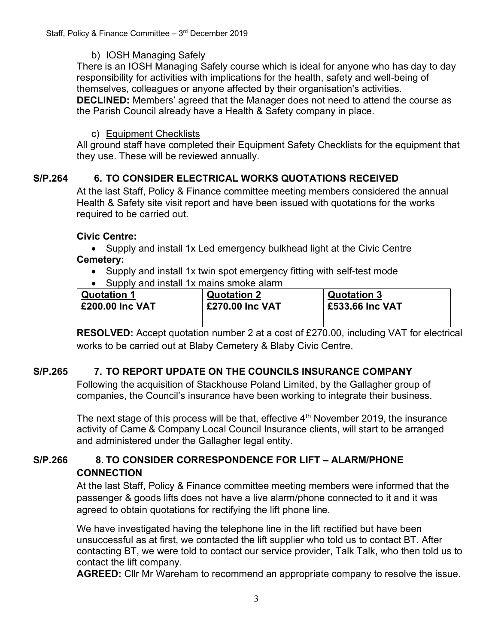## b) IOSH Managing Safely

There is an IOSH Managing Safely course which is ideal for anyone who has day to day responsibility for activities with implications for the health, safety and well-being of themselves, colleagues or anyone affected by their organisation's activities.

**DECLINED:** Members' agreed that the Manager does not need to attend the course as the Parish Council already have a Health & Safety company in place.

## c) Equipment Checklists

All ground staff have completed their Equipment Safety Checklists for the equipment that they use. These will be reviewed annually.

## **S/P.264 6. TO CONSIDER ELECTRICAL WORKS QUOTATIONS RECEIVED**

At the last Staff, Policy & Finance committee meeting members considered the annual Health & Safety site visit report and have been issued with quotations for the works required to be carried out.

## **Civic Centre:**

• Supply and install 1x Led emergency bulkhead light at the Civic Centre **Cemetery:** 

- Supply and install 1x twin spot emergency fitting with self-test mode
- Supply and install 1x mains smoke alarm

| <b>Quotation 1</b>     | <b>Quotation 2</b>     | <b>Quotation 3</b> |  |
|------------------------|------------------------|--------------------|--|
| <b>£200.00 Inc VAT</b> | <b>£270.00 Inc VAT</b> | £533.66 Inc VAT    |  |
|                        |                        |                    |  |

**RESOLVED:** Accept quotation number 2 at a cost of £270.00, including VAT for electrical works to be carried out at Blaby Cemetery & Blaby Civic Centre.

## **S/P.265 7. TO REPORT UPDATE ON THE COUNCILS INSURANCE COMPANY**

Following the acquisition of Stackhouse Poland Limited, by the Gallagher group of companies, the Council's insurance have been working to integrate their business.

The next stage of this process will be that, effective 4<sup>th</sup> November 2019, the insurance activity of Came & Company Local Council Insurance clients, will start to be arranged and administered under the Gallagher legal entity.

## **S/P.266 8. TO CONSIDER CORRESPONDENCE FOR LIFT – ALARM/PHONE CONNECTION**

At the last Staff, Policy & Finance committee meeting members were informed that the passenger & goods lifts does not have a live alarm/phone connected to it and it was agreed to obtain quotations for rectifying the lift phone line.

We have investigated having the telephone line in the lift rectified but have been unsuccessful as at first, we contacted the lift supplier who told us to contact BT. After contacting BT, we were told to contact our service provider, Talk Talk, who then told us to contact the lift company.

**AGREED:** Cllr Mr Wareham to recommend an appropriate company to resolve the issue.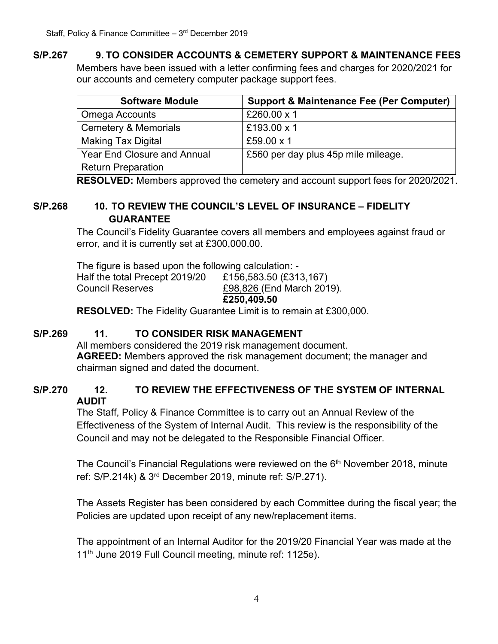## **S/P.267 9. TO CONSIDER ACCOUNTS & CEMETERY SUPPORT & MAINTENANCE FEES**

Members have been issued with a letter confirming fees and charges for 2020/2021 for our accounts and cemetery computer package support fees.

| <b>Software Module</b>             | <b>Support &amp; Maintenance Fee (Per Computer)</b> |
|------------------------------------|-----------------------------------------------------|
| <b>Omega Accounts</b>              | £260.00 x 1                                         |
| <b>Cemetery &amp; Memorials</b>    | £193.00 x 1                                         |
| <b>Making Tax Digital</b>          | £59.00 $\times$ 1                                   |
| <b>Year End Closure and Annual</b> | £560 per day plus 45p mile mileage.                 |
| <b>Return Preparation</b>          |                                                     |

**RESOLVED:** Members approved the cemetery and account support fees for 2020/2021.

## **S/P.268 10. TO REVIEW THE COUNCIL'S LEVEL OF INSURANCE – FIDELITY GUARANTEE**

The Council's Fidelity Guarantee covers all members and employees against fraud or error, and it is currently set at £300,000.00.

The figure is based upon the following calculation: - Half the total Precept 2019/20 £156,583.50 (£313,167) Council Reserves £98,826 (End March 2019). **£250,409.50**

**RESOLVED:** The Fidelity Guarantee Limit is to remain at £300,000.

## **S/P.269 11. TO CONSIDER RISK MANAGEMENT**

All members considered the 2019 risk management document. **AGREED:** Members approved the risk management document; the manager and chairman signed and dated the document.

## **S/P.270 12. TO REVIEW THE EFFECTIVENESS OF THE SYSTEM OF INTERNAL AUDIT**

The Staff, Policy & Finance Committee is to carry out an Annual Review of the Effectiveness of the System of Internal Audit. This review is the responsibility of the Council and may not be delegated to the Responsible Financial Officer.

The Council's Financial Regulations were reviewed on the  $6<sup>th</sup>$  November 2018, minute ref: S/P.214k) & 3rd December 2019, minute ref: S/P.271).

The Assets Register has been considered by each Committee during the fiscal year; the Policies are updated upon receipt of any new/replacement items.

The appointment of an Internal Auditor for the 2019/20 Financial Year was made at the 11<sup>th</sup> June 2019 Full Council meeting, minute ref: 1125e).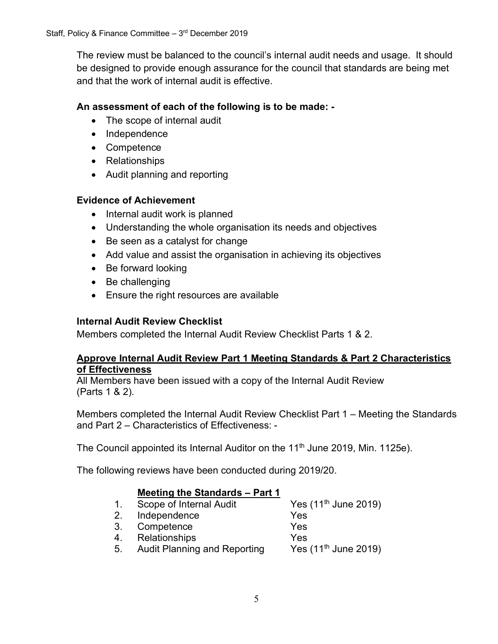The review must be balanced to the council's internal audit needs and usage. It should be designed to provide enough assurance for the council that standards are being met and that the work of internal audit is effective.

### **An assessment of each of the following is to be made: -**

- The scope of internal audit
- Independence
- Competence
- Relationships
- Audit planning and reporting

#### **Evidence of Achievement**

- Internal audit work is planned
- Understanding the whole organisation its needs and objectives
- Be seen as a catalyst for change
- Add value and assist the organisation in achieving its objectives
- Be forward looking
- Be challenging
- Ensure the right resources are available

## **Internal Audit Review Checklist**

Members completed the Internal Audit Review Checklist Parts 1 & 2.

#### **Approve Internal Audit Review Part 1 Meeting Standards & Part 2 Characteristics of Effectiveness**

All Members have been issued with a copy of the Internal Audit Review (Parts 1 & 2).

Members completed the Internal Audit Review Checklist Part 1 – Meeting the Standards and Part 2 – Characteristics of Effectiveness: -

The Council appointed its Internal Auditor on the 11<sup>th</sup> June 2019, Min. 1125e).

The following reviews have been conducted during 2019/20.

#### **Meeting the Standards – Part 1**

| $1_{\cdot}$ | Scope of Internal Audit             | Yes $(11^{th}$ June 2019) |
|-------------|-------------------------------------|---------------------------|
| 2.          | Independence                        | Yes                       |
| 3.          | Competence                          | Yes                       |
| 4.          | <b>Relationships</b>                | Yes                       |
| 5.          | <b>Audit Planning and Reporting</b> | Yes $(11^{th}$ June 2019) |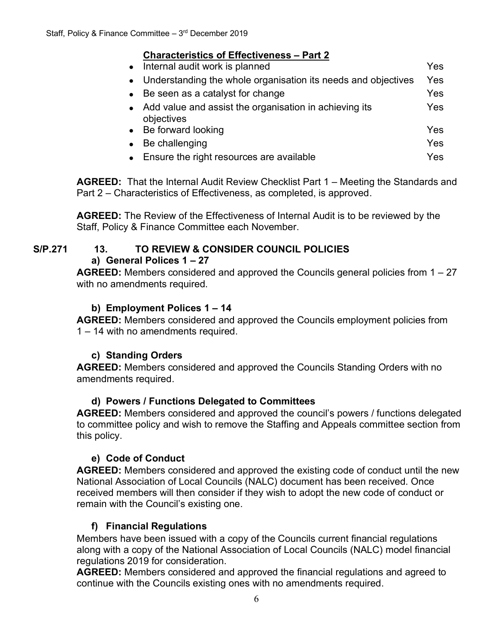## **Characteristics of Effectiveness – Part 2**

| Internal audit work is planned                                         | Yes |
|------------------------------------------------------------------------|-----|
| • Understanding the whole organisation its needs and objectives        | Yes |
| Be seen as a catalyst for change<br>$\bullet$                          | Yes |
| • Add value and assist the organisation in achieving its<br>objectives | Yes |
| • Be forward looking                                                   | Yes |
| Be challenging                                                         | Yes |
| • Ensure the right resources are available                             | Yes |

**AGREED:** That the Internal Audit Review Checklist Part 1 – Meeting the Standards and Part 2 – Characteristics of Effectiveness, as completed, is approved.

**AGREED:** The Review of the Effectiveness of Internal Audit is to be reviewed by the Staff, Policy & Finance Committee each November.

### **S/P.271 13. TO REVIEW & CONSIDER COUNCIL POLICIES a) General Polices 1 – 27**

**AGREED:** Members considered and approved the Councils general policies from 1 – 27 with no amendments required.

## **b) Employment Polices 1 – 14**

**AGREED:** Members considered and approved the Councils employment policies from 1 – 14 with no amendments required.

## **c) Standing Orders**

**AGREED:** Members considered and approved the Councils Standing Orders with no amendments required.

#### **d) Powers / Functions Delegated to Committees**

**AGREED:** Members considered and approved the council's powers / functions delegated to committee policy and wish to remove the Staffing and Appeals committee section from this policy.

## **e) Code of Conduct**

**AGREED:** Members considered and approved the existing code of conduct until the new National Association of Local Councils (NALC) document has been received. Once received members will then consider if they wish to adopt the new code of conduct or remain with the Council's existing one.

## **f) Financial Regulations**

Members have been issued with a copy of the Councils current financial regulations along with a copy of the National Association of Local Councils (NALC) model financial regulations 2019 for consideration.

**AGREED:** Members considered and approved the financial regulations and agreed to continue with the Councils existing ones with no amendments required.